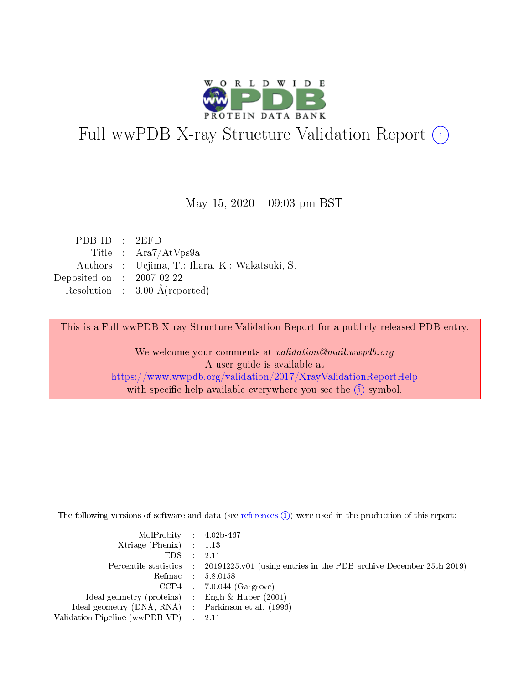

# Full wwPDB X-ray Structure Validation Report (i)

#### May 15,  $2020 - 09:03$  pm BST

| PDBID : 2EFD                |                                                |
|-----------------------------|------------------------------------------------|
|                             | Title : $Ara7/AtVps9a$                         |
|                             | Authors : Uejima, T.; Ihara, K.; Wakatsuki, S. |
| Deposited on : $2007-02-22$ |                                                |
|                             | Resolution : $3.00 \text{ Å}$ (reported)       |

This is a Full wwPDB X-ray Structure Validation Report for a publicly released PDB entry.

We welcome your comments at validation@mail.wwpdb.org A user guide is available at <https://www.wwpdb.org/validation/2017/XrayValidationReportHelp> with specific help available everywhere you see the  $(i)$  symbol.

The following versions of software and data (see [references](https://www.wwpdb.org/validation/2017/XrayValidationReportHelp#references)  $(i)$ ) were used in the production of this report:

| MolProbity : $4.02b-467$                            |                                                                                            |
|-----------------------------------------------------|--------------------------------------------------------------------------------------------|
| Xtriage (Phenix) $: 1.13$                           |                                                                                            |
| EDS -                                               | 2.11                                                                                       |
|                                                     | Percentile statistics : 20191225.v01 (using entries in the PDB archive December 25th 2019) |
|                                                     | Refmac 58.0158                                                                             |
|                                                     | $CCP4$ 7.0.044 (Gargrove)                                                                  |
| Ideal geometry (proteins) : Engh $\&$ Huber (2001)  |                                                                                            |
| Ideal geometry (DNA, RNA) : Parkinson et al. (1996) |                                                                                            |
| Validation Pipeline (wwPDB-VP)                      | -2.11                                                                                      |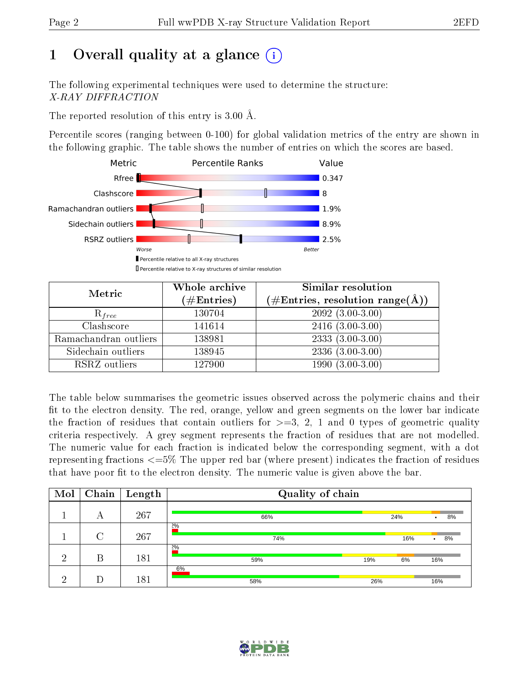# 1 [O](https://www.wwpdb.org/validation/2017/XrayValidationReportHelp#overall_quality)verall quality at a glance  $(i)$

The following experimental techniques were used to determine the structure: X-RAY DIFFRACTION

The reported resolution of this entry is 3.00 Å.

Percentile scores (ranging between 0-100) for global validation metrics of the entry are shown in the following graphic. The table shows the number of entries on which the scores are based.



| Metric                | Whole archive<br>$(\#\text{Entries})$ | Similar resolution<br>$(\#\text{Entries},\,\text{resolution}\,\,\text{range}(\textup{\AA}))$ |
|-----------------------|---------------------------------------|----------------------------------------------------------------------------------------------|
| $R_{free}$            | 130704                                | $209\overline{2}$ $(3.00-3.00)$                                                              |
| Clashscore            | 141614                                | $2416$ $(3.00-3.00)$                                                                         |
| Ramachandran outliers | 138981                                | $2333(3.00-3.00)$                                                                            |
| Sidechain outliers    | 138945                                | $2336(3.00-3.00)$                                                                            |
| RSRZ outliers         | 127900                                | $1990(3.00-3.00)$                                                                            |

The table below summarises the geometric issues observed across the polymeric chains and their fit to the electron density. The red, orange, yellow and green segments on the lower bar indicate the fraction of residues that contain outliers for  $>=3, 2, 1$  and 0 types of geometric quality criteria respectively. A grey segment represents the fraction of residues that are not modelled. The numeric value for each fraction is indicated below the corresponding segment, with a dot representing fractions <=5% The upper red bar (where present) indicates the fraction of residues that have poor fit to the electron density. The numeric value is given above the bar.

| Mol | Chain  | $\sqrt{\frac{1}{2}}$ Length | Quality of chain |     |     |                 |  |  |  |
|-----|--------|-----------------------------|------------------|-----|-----|-----------------|--|--|--|
|     | А      | 267                         | 66%              |     | 24% | 8%<br>$\bullet$ |  |  |  |
|     | $\cap$ | 267                         | 2%<br>74%        |     | 16% | 8%<br>$\bullet$ |  |  |  |
| ച   | В      | 181                         | 2%<br>59%        | 19% | 6%  | 16%             |  |  |  |
| ച   |        | 181                         | 6%<br>58%        | 26% |     | 16%             |  |  |  |

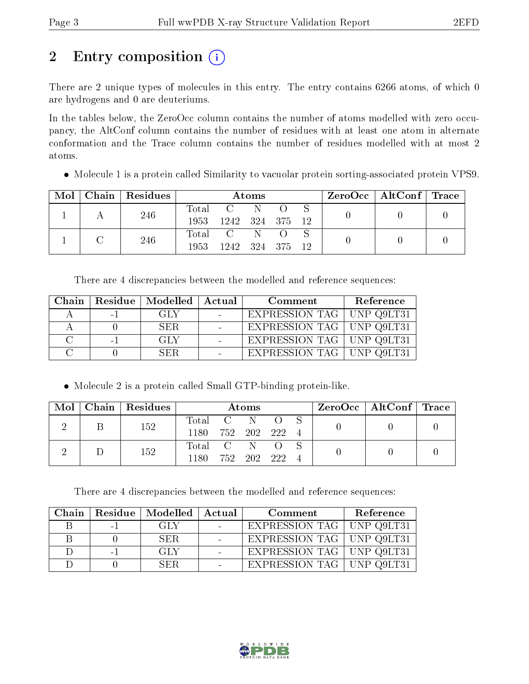# 2 Entry composition  $\left( \cdot \right)$

There are 2 unique types of molecules in this entry. The entry contains 6266 atoms, of which 0 are hydrogens and 0 are deuteriums.

In the tables below, the ZeroOcc column contains the number of atoms modelled with zero occupancy, the AltConf column contains the number of residues with at least one atom in alternate conformation and the Trace column contains the number of residues modelled with at most 2 atoms.

Molecule 1 is a protein called Similarity to vacuolar protein sorting-associated protein VPS9.

| Mol |  | Chain   Residues | Atoms            |                                                     |     |  |  | $\rm ZeroOcc \mid AltConf \mid Trace$ |  |  |
|-----|--|------------------|------------------|-----------------------------------------------------|-----|--|--|---------------------------------------|--|--|
|     |  | 246              | $\mathrm{Total}$ | $\overline{\mathbf{C}}$ and $\overline{\mathbf{C}}$ | -N  |  |  |                                       |  |  |
|     |  |                  | 1953             | 1242 324 375 12                                     |     |  |  |                                       |  |  |
|     |  | 246              |                  | Total C                                             | -N- |  |  |                                       |  |  |
|     |  |                  | 1953             | 1242 324 375 12                                     |     |  |  |                                       |  |  |

There are 4 discrepancies between the modelled and reference sequences:

| Chain |      | Residue   Modelled   Actual | Comment                     | Reference |
|-------|------|-----------------------------|-----------------------------|-----------|
|       | $-1$ | GLY                         | EXPRESSION TAG   UNP Q9LT31 |           |
|       |      | SER.                        | EXPRESSION TAG   UNP Q9LT31 |           |
|       | $-1$ | GLY                         | EXPRESSION TAG   UNP Q9LT31 |           |
|       |      | -SER-                       | EXPRESSION TAG   UNP Q9LT31 |           |

Molecule 2 is a protein called Small GTP-binding protein-like.

| Mol |     | Chain Residues   | Atoms     |  |      |  |  | $\text{ZeroOcc} \mid \text{AltConf} \mid \text{Trace} \mid$ |  |
|-----|-----|------------------|-----------|--|------|--|--|-------------------------------------------------------------|--|
|     |     | 152              | Total C N |  |      |  |  |                                                             |  |
|     |     | 1180 752 202 222 |           |  |      |  |  |                                                             |  |
|     |     |                  | Total C N |  |      |  |  |                                                             |  |
|     | 152 | 1180             | 752 202   |  | -222 |  |  |                                                             |  |

There are 4 discrepancies between the modelled and reference sequences:

| Chain |      | Residue   Modelled   Actual | Comment                     | Reference |
|-------|------|-----------------------------|-----------------------------|-----------|
|       | $-1$ | -GLY                        | EXPRESSION TAG   UNP Q9LT31 |           |
|       |      | SER.                        | EXPRESSION TAG   UNP Q9LT31 |           |
|       | $-1$ | -GLY                        | EXPRESSION TAG   UNP Q9LT31 |           |
|       |      | SER.                        | EXPRESSION TAG   UNP Q9LT31 |           |

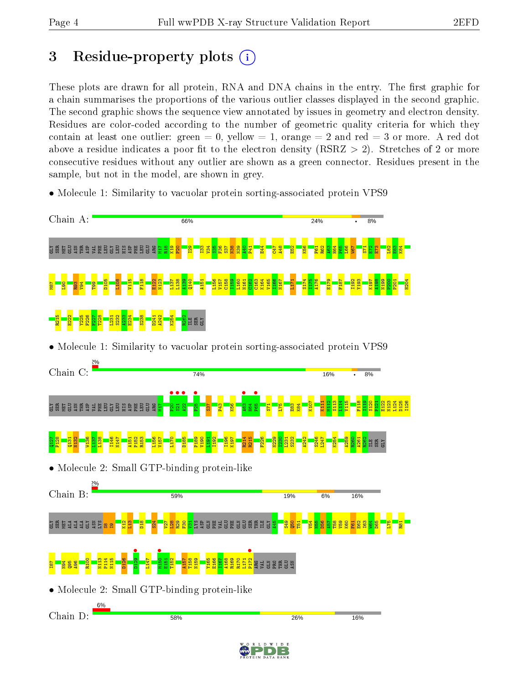# 3 Residue-property plots  $(i)$

These plots are drawn for all protein, RNA and DNA chains in the entry. The first graphic for a chain summarises the proportions of the various outlier classes displayed in the second graphic. The second graphic shows the sequence view annotated by issues in geometry and electron density. Residues are color-coded according to the number of geometric quality criteria for which they contain at least one outlier: green  $= 0$ , yellow  $= 1$ , orange  $= 2$  and red  $= 3$  or more. A red dot above a residue indicates a poor fit to the electron density (RSRZ  $> 2$ ). Stretches of 2 or more consecutive residues without any outlier are shown as a green connector. Residues present in the sample, but not in the model, are shown in grey.

- Chain A: 66% 24% 8%  $\Xi$  GLU  $\Xi$  GLU  $\Xi$  GLU  $\Xi$  GLU  $\Xi$  GLU  $\Xi$  GLU  $\Xi$ M17  $\frac{28}{2}$  $\frac{8}{2}$  $\frac{1}{2}$ I29  $\frac{33}{2}$ V34  $\frac{8}{25}$ F36 S37 N38 N39  $\frac{1}{2}$ P41  $\frac{1}{4}$ C47 A48  $\frac{2}{3}$ K56  $F_{61}$ R62  $\frac{2}{3}$ H64  $\frac{1}{2}$  $\frac{8}{10}$ W67  $\frac{1}{15}$  $\mathbb{E}$ E73  $\frac{82}{2}$  $\frac{2}{3}$ K84 K164 S174 H204 D105 L108 V115 F118 E122 N123  $L137$ L138 A139 Q140 A151 L156 V157 C158 I159 L160 N161 C162 C163 V165 I166 N167 L171 I175 A176 E179 F187 I192 Y193 K197 A198 N199 P200 P201 M87  $\frac{8}{1}$ R93 V94 T99 R215  $\frac{22}{2}$ Y225 F226 F227 T228  $^{1231}$ S232  $\frac{33}{2}$  $\frac{234}{2}$ S238 D241 A242 K254 <mark>s</mark>erge • Molecule 1: Similarity to vacuolar protein sorting-associated protein VPS9 Chain C:  $74%$  $16%$ 8%  $\frac{\bullet}{\overset{\circ}{\phantom{\alpha}}\phantom{\mathbf{2}}\mathbf{2}}$  $\frac{1}{2}$  $\frac{1}{2}$ **•**<br>F25  $\frac{463}{1524}$ **•**<br>P65 K107 K111 M112 S113  $L14$ V115 F118  $\frac{119}{2}$ S120  $\frac{1}{2}$ E122 N123 L124 D125 I126  $\Xi$  GLU  $\Xi$  GLU  $\Xi$  GLU  $\Xi$  GLU  $\Xi$  GLU  $\Xi$  GLU  $\Xi$  $\Xi$  .  $53<sup>7</sup>$ P43  $\frac{8}{3}$  $\mathbf{H}$  $571$ L75  $\frac{3}{2}$  $\frac{4}{8}$ R214 K254  $\frac{127}{2}$ P128  $\frac{131}{2}$ N132 W136  $\frac{137}{1}$ L138 I146 N147 A151 P152 R153 L156 V157 L170 P189 V190  $L191$ I192 I196 K197 R215 F226 N229 I230  $L231$ S232 A242 S246 L247 A259 R260 A261 R262 ILE SER GLY <u>Fi</u> • Molecule 2: Small GTP-binding protein-like Chain B: 59% 19% 6% 16% S REI 111528  $\frac{2}{12}$  $\frac{3}{1}$  $\frac{8}{10}$  $524$  $\frac{1}{2}$  $\frac{8}{2}$ R29  $\frac{8}{5}$ <mark>s</mark> S å å ä ä ä ä ä ä ä ä ä ä A45  $\frac{349}{2}$  $\frac{8}{9}$  $\frac{1}{2}$  $\frac{1}{2}$ D56  $\frac{1}{2}$ T58 V59  $\frac{80}{20}$ E62 I63  $\frac{1}{2}$  $\frac{5}{2}$ L75  $\overline{E}$  $\frac{1}{2}$  $\frac{1}{2}$  $\frac{8}{5}$  $\mathbf{e}$ **b**129 M150 • P172 • R100 N113 P114 N115 D126 L147  $E151$ T152 A157 T158 N159 Y165 E166 I167 A168 R169 R170 L171  $\frac{187}{2}$ N94 Q95 A96 ARG VAL GLN PRO THR GLU ASN • Molecule 2: Small GTP-binding protein-like Chain D:58% 26% 16%
- Molecule 1: Similarity to vacuolar protein sorting-associated protein VPS9

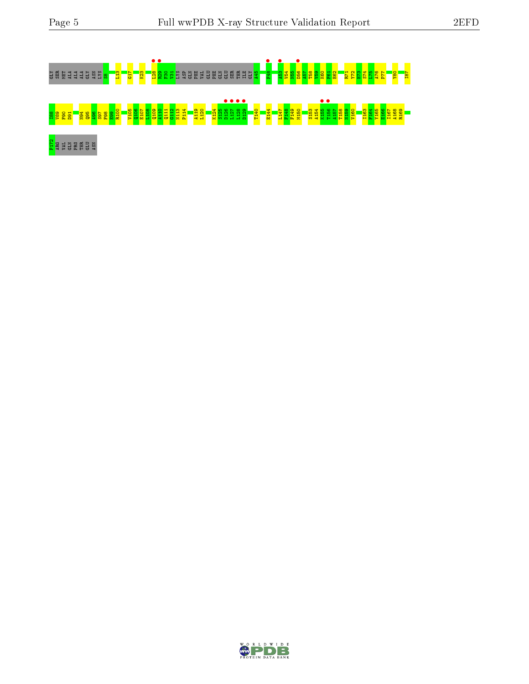

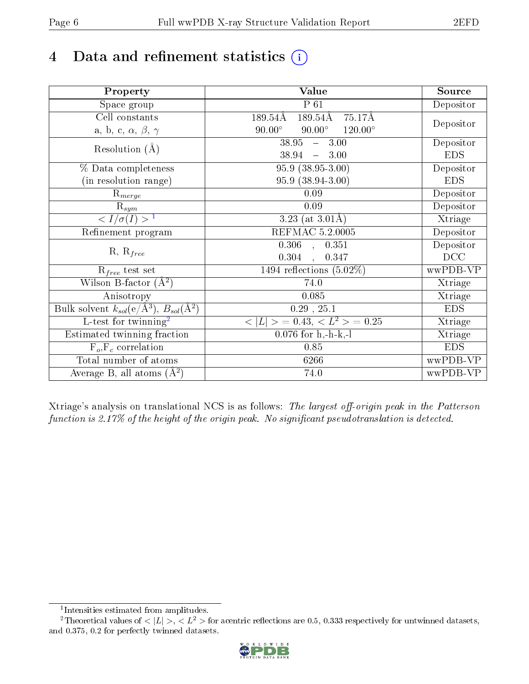# 4 Data and refinement statistics  $(i)$

| Property                                                             | <b>Value</b>                                       | Source     |
|----------------------------------------------------------------------|----------------------------------------------------|------------|
| Space group                                                          | $P_61$                                             | Depositor  |
| Cell constants                                                       | 189.54Å<br>$189.54\text{\AA}$<br>75.17Å            |            |
| a, b, c, $\alpha$ , $\beta$ , $\gamma$                               | $120.00^{\circ}$<br>$90.00^\circ$<br>$90.00^\circ$ | Depositor  |
| Resolution $(A)$                                                     | 38.95<br>$-3.00$                                   | Depositor  |
|                                                                      | 38.94<br>3.00<br>$\frac{1}{2}$                     | <b>EDS</b> |
| % Data completeness                                                  | $95.9(38.95-3.00)$                                 | Depositor  |
| (in resolution range)                                                | 95.9 (38.94-3.00)                                  | <b>EDS</b> |
| $R_{merge}$                                                          | 0.09                                               | Depositor  |
| $\mathrm{R}_{sym}$                                                   | 0.09                                               | Depositor  |
| $\overline{1$                                                        | 3.23 (at $3.01\text{\AA})$                         | Xtriage    |
| Refinement program                                                   | REFMAC 5.2.0005                                    | Depositor  |
|                                                                      | 0.306<br>0.351<br>$\mathbf{r}$                     | Depositor  |
| $R, R_{free}$                                                        | 0.304<br>0.347                                     | DCC        |
| $R_{free}$ test set                                                  | 1494 reflections $(5.02\%)$                        | wwPDB-VP   |
| Wilson B-factor $(A^2)$                                              | 74.0                                               | Xtriage    |
| Anisotropy                                                           | 0.085                                              | Xtriage    |
| Bulk solvent $k_{sol}(e/\mathring{A}^3)$ , $B_{sol}(\mathring{A}^2)$ | $0.29$ , $25.1$                                    | <b>EDS</b> |
| L-test for twinning <sup>2</sup>                                     | $>$ = 0.43, < $L^2$ > = 0.25<br>< L                | Xtriage    |
| Estimated twinning fraction                                          | $0.076$ for h,-h-k,-l                              | Xtriage    |
| $F_o, F_c$ correlation                                               | 0.85                                               | <b>EDS</b> |
| Total number of atoms                                                | 6266                                               | wwPDB-VP   |
| Average B, all atoms $(A^2)$                                         | 74.0                                               | wwPDB-VP   |

Xtriage's analysis on translational NCS is as follows: The largest off-origin peak in the Patterson function is  $2.17\%$  of the height of the origin peak. No significant pseudotranslation is detected.

<sup>&</sup>lt;sup>2</sup>Theoretical values of  $\langle |L| \rangle$ ,  $\langle L^2 \rangle$  for acentric reflections are 0.5, 0.333 respectively for untwinned datasets, and 0.375, 0.2 for perfectly twinned datasets.



<span id="page-5-1"></span><span id="page-5-0"></span><sup>1</sup> Intensities estimated from amplitudes.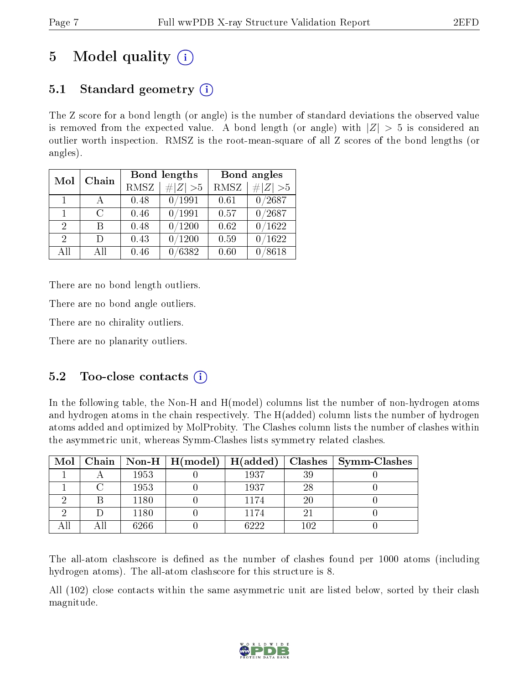# 5 Model quality  $(i)$

## 5.1 Standard geometry  $\overline{()}$

The Z score for a bond length (or angle) is the number of standard deviations the observed value is removed from the expected value. A bond length (or angle) with  $|Z| > 5$  is considered an outlier worth inspection. RMSZ is the root-mean-square of all Z scores of the bond lengths (or angles).

| Mol                         | Chain        |      | <b>Bond lengths</b> | Bond angles |                 |
|-----------------------------|--------------|------|---------------------|-------------|-----------------|
|                             |              | RMSZ | $\# Z  > 5$         | RMSZ        | $\# Z  > 5$     |
| $\vert$ 1                   | $\mathsf{A}$ | 0.48 | 0/1991              | 0.61        | 0/2687          |
| 1                           | C            | 0.46 | 0/1991              | 0.57        | 0/2687          |
| $\mathcal{D}$               | R            | 0.48 | 0/1200              | 0.62        | 0/1622          |
| $\mathcal{D}_{\mathcal{L}}$ | Ð            | 0.43 | $/1200\,$           | 0.59        | /1622           |
| All                         | АH           | 0.46 | $\sqrt{6382}$       | 0.60        | $^{\prime}8618$ |

There are no bond length outliers.

There are no bond angle outliers.

There are no chirality outliers.

There are no planarity outliers.

### 5.2 Too-close contacts  $\overline{()}$

In the following table, the Non-H and H(model) columns list the number of non-hydrogen atoms and hydrogen atoms in the chain respectively. The H(added) column lists the number of hydrogen atoms added and optimized by MolProbity. The Clashes column lists the number of clashes within the asymmetric unit, whereas Symm-Clashes lists symmetry related clashes.

| $\text{Mol}$ |      | $\mid$ Chain $\mid$ Non-H $\mid$ H(model) $\mid$ | $\vert$ H(added) |     | Clashes   Symm-Clashes |
|--------------|------|--------------------------------------------------|------------------|-----|------------------------|
|              | 1953 |                                                  | 1937             | 39  |                        |
|              | 1953 |                                                  | 1937             | 28  |                        |
|              | 1180 |                                                  | 1174             | 20  |                        |
|              | 1180 |                                                  | 1174             | ച   |                        |
|              | 6266 |                                                  | 6222             | 102 |                        |

The all-atom clashscore is defined as the number of clashes found per 1000 atoms (including hydrogen atoms). The all-atom clashscore for this structure is 8.

All (102) close contacts within the same asymmetric unit are listed below, sorted by their clash magnitude.

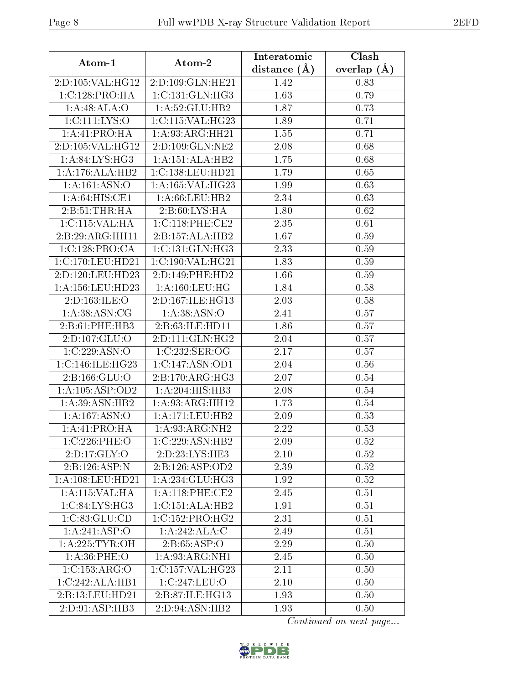| Atom-1                    | Atom-2                                 | Interatomic    | Clash             |  |
|---------------------------|----------------------------------------|----------------|-------------------|--|
|                           |                                        | distance $(A)$ | overlap $(A)$     |  |
| 2:D:105:VAL:HG12          | 2:D:109:GLN:HE21                       | 1.42           | 0.83              |  |
| 1:C:128:PRO:HA            | 1: C: 131: GLN: HG3                    | 1.63           | 0.79              |  |
| 1:A:48:ALA:O              | 1:A:52:GLU:HB2                         | 1.87           | 0.73              |  |
| 1:C:111:LYS:O             | 1:C:115:VAL:HG23                       | 1.89           | 0.71              |  |
| 1:A:41:PRO:HA             | 1:A:93:ARG:HH21                        | 1.55           | 0.71              |  |
| 2:D:105:VAL:HG12          | 2:D:109:GLN:NE2                        | 2.08           | 0.68              |  |
| 1: A:84: LYS:HG3          | 1:A:151:ALA:HB2                        | 1.75           | 0.68              |  |
| 1:A:176:ALA:HB2           | 1:C:138:LEU:HD21                       | 1.79           | 0.65              |  |
| 1: A: 161: ASN: O         | 1:A:165:VAL:HG23                       | 1.99           | 0.63              |  |
| 1: A:64: HIS: CE1         | 1:A:66:LEU:HB2                         | 2.34           | 0.63              |  |
| 2: B:51:THR:HA            | 2: B:60: LYS: HA                       | 1.80           | 0.62              |  |
| 1:C:115:VAL:HA            | 1:C:118:PHE:CE2                        | 2.35           | 0.61              |  |
| 2:B:29:ARG:HH11           | 2:B:157:ALA:HB2                        | 1.67           | 0.59              |  |
| 1:C:128:PRO:CA            | 1:C:131:GLN:HG3                        | 2.33           | 0.59              |  |
| 1:C:170:LEU:HD21          | 1:C:190:VAL:HG21                       | 1.83           | 0.59              |  |
| 2:D:120:LEU:HD23          | 2:D:149:PHE:HD2                        | 1.66           | 0.59              |  |
| 1: A: 156: LEU: HD23      | 1: A:160:LEU:HG                        | 1.84           | 0.58              |  |
| 2:D:163:ILE:O             | 2:D:167:ILE:HG13                       | 2.03           | 0.58              |  |
| 1:A:38:ASN:CG             | 1:A:38:ASN:O                           | 2.41           | 0.57              |  |
| 2:B:61:PHE:HB3            | 2:B:63:ILE:HD11                        | 1.86           | 0.57              |  |
| 2:D:107:GLU:O             | 2:D:111:GLN:HG2                        | 2.04           | 0.57              |  |
| 1:C:229:ASN:O             | 1:C:232:SER:OG                         | 2.17           | 0.57              |  |
| 1:C:146:ILE:HG23          | 1:C:147:ASN:OD1                        | 2.04           | 0.56              |  |
| 2: B: 166: GLU: O         | 2:B:170:ARG:HG3                        | 2.07           | $0.54\,$          |  |
| 1: A: 105: ASP: OD2       | 1:A:204:HIS:HB3                        | 2.08           | 0.54              |  |
| 1:A:39:ASN:HB2            | 1: A:93:ARG:HH12                       | 1.73           | 0.54              |  |
| 1:A:167:ASN:O             | 1: A:171: LEU: HB2                     | 2.09           | 0.53              |  |
| 1: A:41: PRO:HA           | 1:A:93:ARG:NH2                         | 2.22           | 0.53              |  |
| 1:C:226:PHE:O             | 1:C:229:ASN:HB2                        | 2.09           | $\overline{0.52}$ |  |
| 2:D:17:GLY:O              | 2:D:23:LYS:HE3                         | 2.10           | $0.52\,$          |  |
| $2:B:126:ASP\overline{N}$ | 2:B:126:ASP:OD2                        | 2.39           | 0.52              |  |
| 1: A: 108: LEU: HD21      | 1:A:234:GLU:HG3                        | 1.92           | 0.52              |  |
| 1:A:115:VAL:H A           | 1: A:118: PHE:CE2                      | 2.45           | 0.51              |  |
| 1:C:84:LYS:HG3            | 1:C:151:ALA:HB2                        | 1.91           | 0.51              |  |
| 1:C:83:GLU:CD             | 1:C:152:PRO:HG2                        | 2.31           | 0.51              |  |
| 1:A:241:ASP:O             | 1:A:242:ALA:C                          | 2.49           | 0.51              |  |
| 1: A:225: TYR:OH          | 2: B: 65: ASP: O                       | 2.29           | 0.50              |  |
| 1: A:36: PHE:O            | 1:A:93:ARG:NH1                         | 2.45           | 0.50              |  |
| 1:C:153:ARG:O             | $1:C:157:V\overline{\mathrm{AL:HG}23}$ | 2.11           | 0.50              |  |
| 1:C:242:ALA:HB1           | 1:C:247:LEU:O                          | 2.10           | 0.50              |  |
| 2:B:13:LEU:HD21           | 2:B:87:ILE:HG13                        | 1.93           | 0.50              |  |
| 2:D:91:ASP:HB3            | 2:D:94:ASN:HB2                         | 1.93           | 0.50              |  |

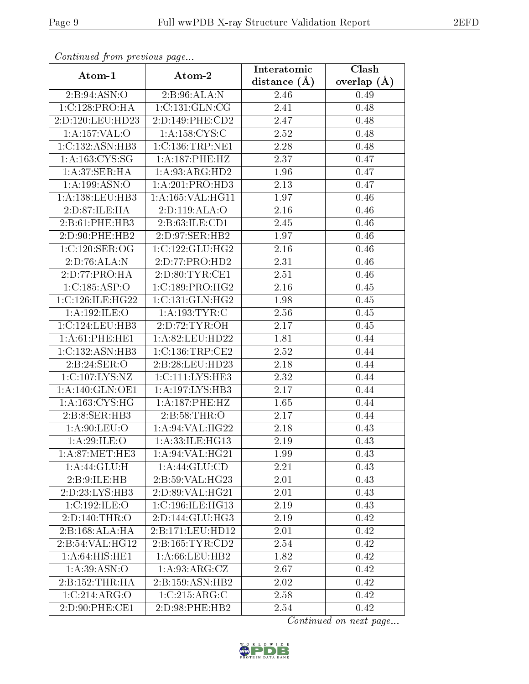| Continuation providus page |                              |                   | Clash         |
|----------------------------|------------------------------|-------------------|---------------|
| Atom-1                     | Atom-2                       | distance $(\AA)$  | overlap $(A)$ |
| 2: B:94: ASN:O             | 2:B:96:ALA:N                 | 2.46              | 0.49          |
| 1:C:128:PRO:HA             | 1:C:131:GLN:CG               | 2.41              | 0.48          |
| 2:D:120:LEU:HD23           | 2:D:149:PHE:CD2              | 2.47              | 0.48          |
| $1:$ A:157:VAL:O           | 1: A: 158: CYS: C            | 2.52              | 0.48          |
| 1:C:132:ASN:HB3            | 1:C:136:TRP:NE1              | 2.28              | 0.48          |
| 1: A: 163: CYS: SG         | 1:A:187:PHE:HZ               | 2.37              | 0.47          |
| 1:A:37:SER:HA              | 1: A:93: ARG: HD2            | 1.96              | 0.47          |
| 1: A: 199: ASN: O          | 1:A:201:PRO:HD3              | 2.13              | 0.47          |
| 1: A: 138: LEU: HB3        | 1:A:165:VAL:HG11             | 1.97              | 0.46          |
| 2:D:87:ILE:HA              | 2:D:119:ALA:O                | 2.16              | 0.46          |
| 2:B:61:PHE:HB3             | 2:B:63:ILE:CD1               | 2.45              | 0.46          |
| 2:D:90:PHE:HB2             | 2:D:97:SER:HB2               | 1.97              | 0.46          |
| 1:C:120:SER:OG             | 1:C:122:CLU:HG2              | 2.16              | 0.46          |
| 2:D:76:ALA:N               | 2:D:77:PRO:HD2               | 2.31              | 0.46          |
| 2:D:77:PRO:HA              | 2:D:80:TYR:CE1               | 2.51              | 0.46          |
| 1:C:185:ASP:O              | 1:C:189:PRO:HG2              | 2.16              | 0.45          |
| 1:C:126:ILE:HG22           | 1:C:131:GLN:HG2              | 1.98              | 0.45          |
| 1: A: 192: ILE: O          | 1: A: 193: TYR: C            | 2.56              | 0.45          |
| 1:C:124:LEU:HB3            | 2:D:72:TYR:OH                | 2.17              | 0.45          |
| 1: A:61:PHE:HE1            | 1:A:82:LEU:HD22              | 1.81              | 0.44          |
| 1: C: 132: ASN: HB3        | $1:C:136$ : TRP: $CE2$       | 2.52              | 0.44          |
| 2: B:24: SER:O             | 2:B:28:LEU:HD23              | 2.18              | 0.44          |
| 1:C:107:LYS:NZ             | 1:C:111:LYS:HE3              | 2.32              | 0.44          |
| 1: A:140: GLN:OE1          | 1:A:197:LYS:HB3              | $\overline{2.17}$ | 0.44          |
| 1: A: 163: CYS: HG         | 1:A:187:PHE:HZ               | 1.65              | 0.44          |
| 2:B:8:SER:HB3              | 2:Bi:58:THR:O                | 2.17              | 0.44          |
| 1: A:90: LEU:O             | 1: A:94: VAL: HG22           | 2.18              | 0.43          |
| 1:A:29:ILE:O               | 1:A:33:ILE:HG13              | 2.19              | 0.43          |
| 1: A:87: MET:HE3           | 1: A:94: VAL: HG21           | 1.99              | 0.43          |
| 1:A:44:GLU:H               | 1: A:44: GLU:CD              | 2.21              | 0.43          |
| 2:B:9:ILE:HB               | 2:B:59:VAL:HG23              | 2.01              | 0.43          |
| 2:D:23:LYS:HB3             | 2:D:89:VAL:HG21              | 2.01              | 0.43          |
| 1:C:192:ILE:O              | 1:C:196:ILE:HG13             | 2.19              | 0.43          |
| 2:D:140:THR:O              | $2:D:144:GLU:H\overline{G3}$ | 2.19              | 0.42          |
| 2:B:168:ALA:HA             | 2:B:171:LEU:HD12             | 2.01              | 0.42          |
| 2:B:54:VAL:HG12            | 2: B: 165: TYR: CD2          | 2.54              | 0.42          |
| 1:A:64:HIS:HE1             | 1: A:66:LEU:HB2              | 1.82              | 0.42          |
| 1: A:39: ASN:O             | 1: A:93: ARG: CZ             | 2.67              | 0.42          |
| 2:B:152:THR:HA             | 2:B:159:ASN:HB2              | 2.02              | 0.42          |
| 1:C:214:ARG:O              | 1:C:215:ARG:C                | 2.58              | 0.42          |
| 2:D:90:PHE:CE1             | 2:D:98:PHE:HB2               | 2.54              | 0.42          |

Continued from previous page.

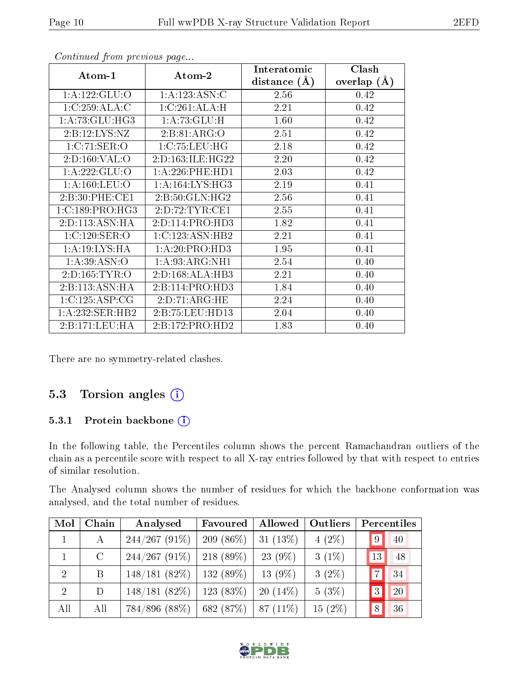| Atom-1            | Atom-2            | Interatomic<br>distance $(A)$ | Clash<br>overlap $(A)$ |
|-------------------|-------------------|-------------------------------|------------------------|
| 1: A: 122: GLU:O  | 1:A:123:ASN:C     | 2.56                          | 0.42                   |
| 1:C:259:ALA:C     | 1:C:261:ALA:H     | 2.21                          | 0.42                   |
| 1: A:73: GLU:HG3  | 1: A:73: GLU:H    | 1.60                          | 0.42                   |
| 2:B:12:LYS:NZ     | 2:B:81:ARG:O      | 2.51                          | 0.42                   |
| 1:C:71:SER:O      | 1: C: 75: LEU: HG | 2.18                          | 0.42                   |
| 2:D:160:VAL:O     | 2:D:163:ILE:HG22  | 2.20                          | 0.42                   |
| 1: A:222: GLU:O   | 1:A:226:PHE:HD1   | 2.03                          | 0.42                   |
| 1: A: 160: LEU: O | 1: A:164:LYS:HG3  | 2.19                          | 0.41                   |
| 2:B:30:PHE:CE1    | 2:B:50:GLN:HG2    | 2.56                          | 0.41                   |
| 1:C:189:PRO:HG3   | 2:D:72:TYR:CE1    | 2.55                          | 0.41                   |
| 2:D:113:ASN:HA    | 2:D:114:PRO:HD3   | 1.82                          | 0.41                   |
| 1:C:120:SER:O     | 1:C:123:ASN:HB2   | 2.21                          | 0.41                   |
| 1: A:19: LYS: HA  | 1:A:20:PRO:HD3    | 1.95                          | 0.41                   |
| 1: A:39: ASN:O    | 1: A:93:ARG:NH1   | 2.54                          | 0.40                   |
| 2: D: 165: TYR: O | 2:D:168:ALA:HB3   | 2.21                          | 0.40                   |
| 2:B:113:ASN:HA    | 2:B:114:PRO:HD3   | 1.84                          | 0.40                   |
| 1:C:125:ASP:CG    | 2:D:71:ARG:HE     | 2.24                          | 0.40                   |
| 1:A:232:SER:HB2   | 2:B:75:LEU:HD13   | 2.04                          | 0.40                   |
| 2:B:171:LEU:HA    | 2:B:172:PRO:HD2   | 1.83                          | 0.40                   |

Continued from previous page...

There are no symmetry-related clashes.

### 5.3 Torsion angles (i)

#### 5.3.1 Protein backbone (i)

In the following table, the Percentiles column shows the percent Ramachandran outliers of the chain as a percentile score with respect to all X-ray entries followed by that with respect to entries of similar resolution.

The Analysed column shows the number of residues for which the backbone conformation was analysed, and the total number of residues.

| Mol            | Chain         | Analysed        | Favoured     | Allowed     | Outliers  |                | Percentiles |
|----------------|---------------|-----------------|--------------|-------------|-----------|----------------|-------------|
|                | А             | $244/267(91\%)$ | 209 $(86\%)$ | 31 $(13%)$  | $4(2\%)$  | $\overline{9}$ | 40          |
| $\mathbf{1}$   | $\mathcal{C}$ | $244/267(91\%)$ | 218 (89%)    | $23(9\%)$   | $3(1\%)$  | 13             | 48          |
| $\overline{2}$ | B             | 148/181(82%)    | $132(89\%)$  | $13(9\%)$   | $3(2\%)$  | $\overline{7}$ | 34          |
| $\overline{2}$ | D             | 148/181(82%)    | $123(83\%)$  | $20(14\%)$  | $5(3\%)$  | 3 <sup>2</sup> | 20          |
| All            | All           | 784/896 (88%)   | 682 (87%)    | 87 $(11\%)$ | $15(2\%)$ | 8              | 36          |

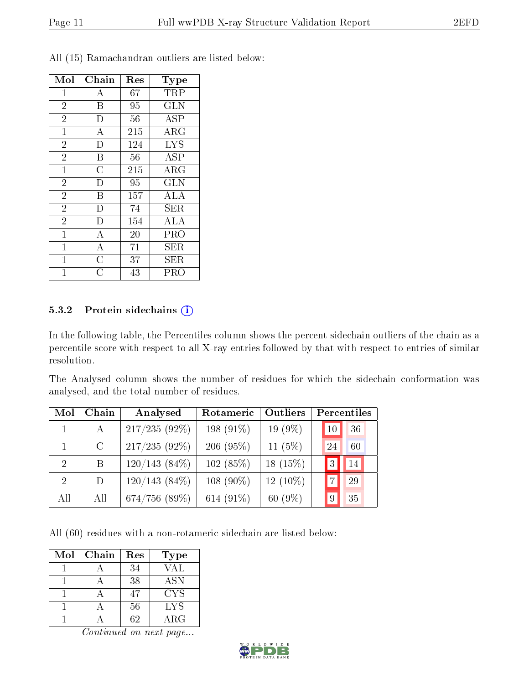| Mol            | Chain              | Res | Type             |
|----------------|--------------------|-----|------------------|
| 1              | А                  | 67  | TRP              |
| $\overline{2}$ | B                  | 95  | <b>GLN</b>       |
| $\overline{2}$ | D                  | 56  | <b>ASP</b>       |
| $\mathbf{1}$   | А                  | 215 | $\rm{ARG}$       |
| $\overline{2}$ | D                  | 124 | <b>LYS</b>       |
| $\overline{2}$ | B                  | 56  | $\overline{A}SP$ |
| $\mathbf{1}$   | $\overline{C}$     | 215 | $\rm{ARG}$       |
| $\overline{2}$ | D                  | 95  | <b>GLN</b>       |
| $\overline{2}$ | B                  | 157 | <b>ALA</b>       |
| $\overline{2}$ | $\mathbf{D}$       | 74  | SER              |
| $\overline{2}$ | D                  | 154 | ALA              |
| $\mathbf{1}$   | $\overline{A}$     | 20  | PRO              |
| $\mathbf{1}$   | $\bf{A}$           | 71  | SER              |
| $\mathbf 1$    | $\overline{C}$     | 37  | SER              |
|                | $\overline{\rm C}$ | 43  | PRO              |

All (15) Ramachandran outliers are listed below:

#### 5.3.2 Protein sidechains (i)

In the following table, the Percentiles column shows the percent sidechain outliers of the chain as a percentile score with respect to all X-ray entries followed by that with respect to entries of similar resolution.

The Analysed column shows the number of residues for which the sidechain conformation was analysed, and the total number of residues.

| Mol                         | Chain   | Analysed           | Rotameric   | Outliers   |    | Percentiles |
|-----------------------------|---------|--------------------|-------------|------------|----|-------------|
|                             | A       | $217/235(92\%)$    | 198 (91\%)  | $19(9\%)$  | 10 | 36          |
|                             | $\rm C$ | $217/235(92\%)$    | 206(95%)    | 11 $(5%)$  | 24 | 60          |
| $\mathcal{D}_{\mathcal{L}}$ | B       | $120/143(84\%)$    | 102(85%)    | 18 $(15%)$ | 3  | 14          |
| $\mathcal{D}_{\mathcal{L}}$ | D.      | $120/143(84\%)$    | $108(90\%)$ | $12(10\%)$ |    | 29          |
| All                         | All     | $674/756$ $(89\%)$ | 614 (91\%)  | 60 $(9\%)$ | 9  | 35          |

All (60) residues with a non-rotameric sidechain are listed below:

| Mol | Chain | Res | <b>Type</b> |
|-----|-------|-----|-------------|
|     |       | 34  | VAL         |
|     |       | 38  | <b>ASN</b>  |
|     |       | 47  | <b>CYS</b>  |
|     |       | 56  | LYS         |
|     |       | 62  | ${\rm ARG}$ |

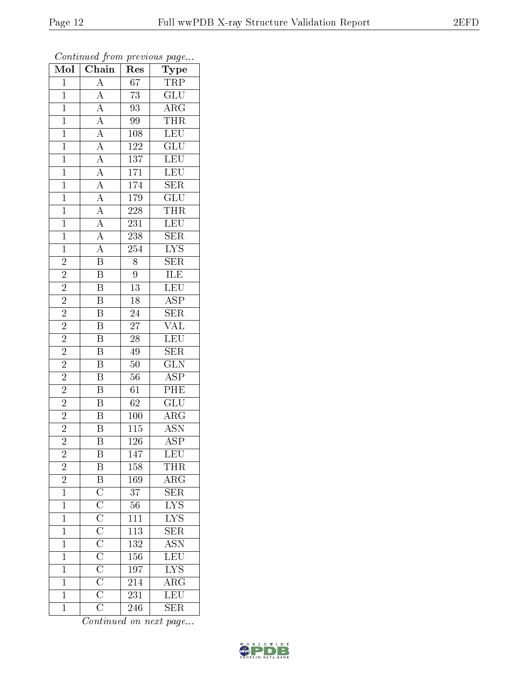| Mol            | $\overline{\text{Chain}}$                                                                                                                                                                                     | Res              | $\mathrm{Type}$                                           |
|----------------|---------------------------------------------------------------------------------------------------------------------------------------------------------------------------------------------------------------|------------------|-----------------------------------------------------------|
| $\mathbf{1}$   | $\mathbf{A}$                                                                                                                                                                                                  | 67               | <b>TRP</b>                                                |
| $\mathbf 1$    | $\overline{A}$                                                                                                                                                                                                | $73\,$           | $\overline{\text{GLU}}$                                   |
| $\mathbf{1}$   |                                                                                                                                                                                                               | 93               | $\overline{\rm{ARG}}$                                     |
| $\overline{1}$ |                                                                                                                                                                                                               | 99               | <b>THR</b>                                                |
| $\overline{1}$ |                                                                                                                                                                                                               | 108              | LEU                                                       |
| $\mathbf{1}$   |                                                                                                                                                                                                               | $\overline{122}$ | GLU                                                       |
| $\mathbf{1}$   |                                                                                                                                                                                                               | 137              | LEU                                                       |
| $\mathbf{1}$   |                                                                                                                                                                                                               | 171              | LEU                                                       |
| $\overline{1}$ |                                                                                                                                                                                                               | 174              | SER                                                       |
| $\overline{1}$ |                                                                                                                                                                                                               | 179              | $\overline{{\rm GLU}}$                                    |
| $\mathbf{1}$   |                                                                                                                                                                                                               | 228              | $\overline{\text{THR}}$                                   |
| $\overline{1}$ |                                                                                                                                                                                                               | 231              | <b>LEU</b>                                                |
| $\overline{1}$ | $\frac{\overline{A}}{\overline{A}} \frac{\overline{A}}{\overline{A}} \frac{\overline{A}}{\overline{A}} \frac{\overline{A}}{\overline{A}} \frac{\overline{A}}{\overline{A}} \frac{\overline{A}}{\overline{A}}$ | 238              | $\overline{\text{SER}}$                                   |
| $\overline{1}$ |                                                                                                                                                                                                               | $\overline{254}$ | $\overline{\text{LYS}}$                                   |
| $\overline{2}$ | $\overline{\mathbf{B}}$                                                                                                                                                                                       | $\overline{8}$   | $\overline{\text{SER}}$                                   |
| $\overline{2}$ | $\frac{1}{\text{B}}$                                                                                                                                                                                          | $\boldsymbol{9}$ | $\frac{\overline{\textrm{ILE}}}{\overline{\textrm{LEU}}}$ |
| $\overline{2}$ | $\overline{\mathrm{B}}$                                                                                                                                                                                       | $\overline{13}$  |                                                           |
| $\overline{2}$ | $\overline{\mathbf{B}}$                                                                                                                                                                                       | $18\,$           | $\overline{\text{ASP}}$                                   |
| $\overline{2}$ | $\overline{\mathrm{B}}$                                                                                                                                                                                       | $\overline{24}$  | $\overline{\text{SER}}$                                   |
| $\overline{2}$ | $\overline{\mathrm{B}}$                                                                                                                                                                                       | $\overline{27}$  | <b>VAL</b>                                                |
| $\overline{2}$ | $\overline{B}$                                                                                                                                                                                                | $\overline{28}$  | LEU                                                       |
| $\overline{2}$ | $\overline{\mathbf{B}}$                                                                                                                                                                                       | 49               | $\overline{\text{SER}}$                                   |
| $\overline{2}$ | $\overline{\mathrm{B}}$                                                                                                                                                                                       | $\overline{50}$  | $\overline{\text{GLN}}$                                   |
| $\overline{2}$ | $\overline{B}$                                                                                                                                                                                                | $56\,$           | $\overline{\text{ASP}}$                                   |
| $\overline{2}$ | $\overline{\mathrm{B}}$                                                                                                                                                                                       | 61               | PHE                                                       |
| $\overline{c}$ | $\overline{\mathrm{B}}$                                                                                                                                                                                       | 62               | $\overline{\text{GLU}}$                                   |
| $\overline{2}$ | $\overline{B}$                                                                                                                                                                                                | 100              | $\overline{\rm{ARG}}$                                     |
| $\overline{2}$ | $\overline{\mathrm{B}}$                                                                                                                                                                                       | 115              | <b>ASN</b>                                                |
| $\overline{2}$ | $\overline{\mathrm{B}}$                                                                                                                                                                                       | 126              | $\overline{\text{ASP}}$                                   |
| $\overline{c}$ | Β                                                                                                                                                                                                             | 147              | <b>LEU</b>                                                |
| $\overline{c}$ | B                                                                                                                                                                                                             | 158              | <b>THR</b>                                                |
| $\overline{2}$ |                                                                                                                                                                                                               | 169              | $\overline{\text{ARG}}$                                   |
| $\overline{1}$ | $\overline{B}$ $\overline{C}$ $\overline{C}$ $\overline{C}$ $\overline{C}$ $\overline{C}$ $\overline{C}$ $\overline{C}$ $\overline{C}$ $\overline{C}$                                                         | 37               | <b>SER</b>                                                |
| $\overline{1}$ |                                                                                                                                                                                                               | $\overline{56}$  | $\overline{\text{LYS}}$                                   |
| $\mathbf 1$    |                                                                                                                                                                                                               | <sup>111</sup>   | $\overline{\text{LYS}}$                                   |
| $\mathbf 1$    |                                                                                                                                                                                                               | $\overline{113}$ | $\overline{\text{SER}}$                                   |
| $\mathbf 1$    |                                                                                                                                                                                                               | 132              | $\overline{\text{ASN}}$                                   |
| $\overline{1}$ |                                                                                                                                                                                                               | 156              | $\overline{\text{LEU}}$                                   |
| $\mathbf 1$    |                                                                                                                                                                                                               | 197              | $\overline{\text{LYS}}$                                   |
| $\mathbf 1$    |                                                                                                                                                                                                               | 214              | $\overline{\rm{ARG}}$                                     |
| $\mathbf 1$    |                                                                                                                                                                                                               | 231              | $\overline{\text{LEU}}$                                   |
| $\mathbf{1}$   | $\overline{\overline{\rm C}}$                                                                                                                                                                                 | 246              | <b>SER</b>                                                |

Continued from previous page...

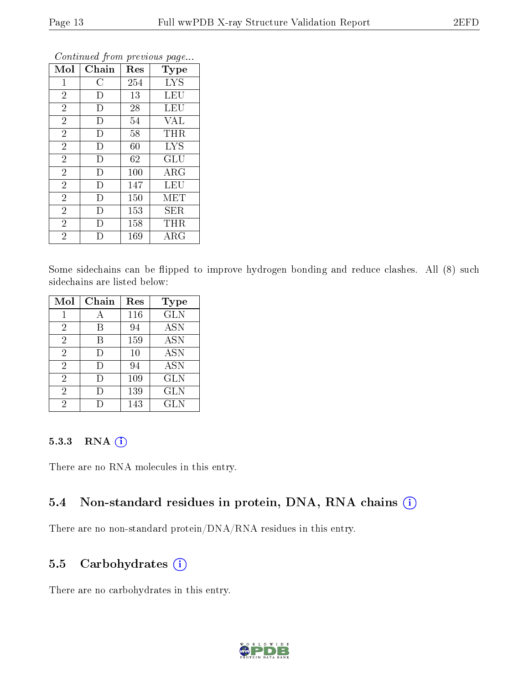| Mol            | Chain              | Res    | Type       |
|----------------|--------------------|--------|------------|
| $\mathbf{1}$   | $\overline{\rm C}$ | 254    | <b>LYS</b> |
| $\overline{2}$ | D                  | 13     | LEU        |
| $\overline{2}$ | D                  | $28\,$ | LEU        |
| $\overline{2}$ | D                  | 54     | <b>VAL</b> |
| $\overline{2}$ | D                  | 58     | THR        |
| $\overline{2}$ | D                  | 60     | <b>LYS</b> |
| $\overline{2}$ | D                  | 62     | GLU        |
| $\overline{2}$ | D                  | 100    | $\rm{ARG}$ |
| $\overline{2}$ | D                  | 147    | <b>LEU</b> |
| $\overline{2}$ | D                  | 150    | MET        |
| $\overline{2}$ | D                  | 153    | SER        |
| $\overline{2}$ | Ð                  | 158    | THR        |
| $\overline{2}$ | Е                  | 169    | $\rm{ARG}$ |

Continued from previous page...

Some sidechains can be flipped to improve hydrogen bonding and reduce clashes. All (8) such sidechains are listed below:

| Mol            | Chain  | Res | <b>Type</b> |
|----------------|--------|-----|-------------|
| 1              |        | 116 | <b>GLN</b>  |
| 2              | B      | 94  | <b>ASN</b>  |
| $\overline{2}$ | В      | 159 | <b>ASN</b>  |
| $\overline{2}$ | $\Box$ | 10  | <b>ASN</b>  |
| $\overline{2}$ | Ð      | 94  | <b>ASN</b>  |
| $\overline{2}$ | $\Box$ | 109 | <b>GLN</b>  |
| 2              |        | 139 | GLN         |
| 2              |        | 143 | GLN         |

#### 5.3.3 RNA (1)

There are no RNA molecules in this entry.

### 5.4 Non-standard residues in protein, DNA, RNA chains (i)

There are no non-standard protein/DNA/RNA residues in this entry.

#### 5.5 Carbohydrates  $(i)$

There are no carbohydrates in this entry.

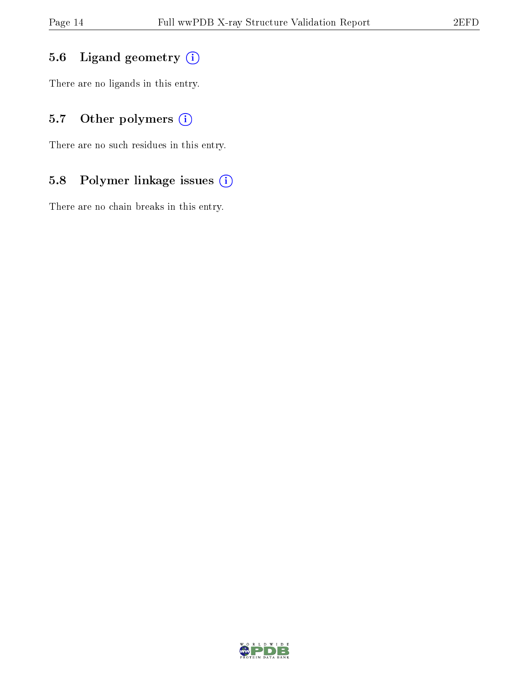### 5.6 Ligand geometry (i)

There are no ligands in this entry.

### 5.7 [O](https://www.wwpdb.org/validation/2017/XrayValidationReportHelp#nonstandard_residues_and_ligands)ther polymers (i)

There are no such residues in this entry.

### 5.8 Polymer linkage issues (i)

There are no chain breaks in this entry.

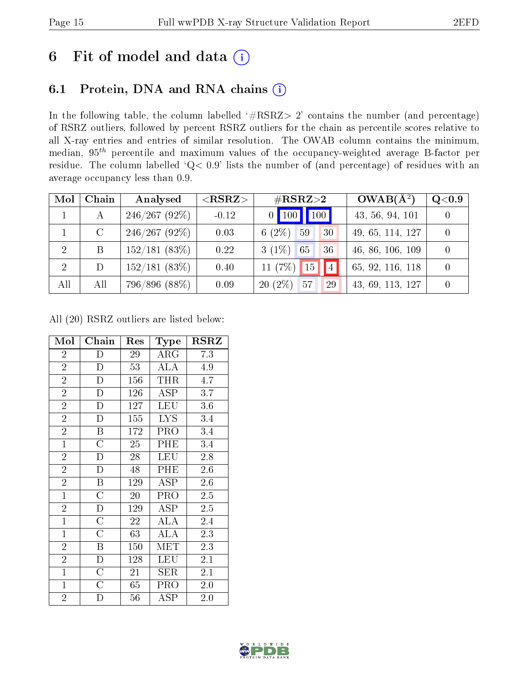## 6 Fit of model and data  $(i)$

## 6.1 Protein, DNA and RNA chains  $(i)$

In the following table, the column labelled  $#RSRZ> 2'$  contains the number (and percentage) of RSRZ outliers, followed by percent RSRZ outliers for the chain as percentile scores relative to all X-ray entries and entries of similar resolution. The OWAB column contains the minimum, median,  $95<sup>th</sup>$  percentile and maximum values of the occupancy-weighted average B-factor per residue. The column labelled ' $Q< 0.9$ ' lists the number of (and percentage) of residues with an average occupancy less than 0.9.

| Mol | Chain         | Analysed      | $<$ RSRZ $>$ | $\#\text{RSRZ}\text{>2}$ | $OWAB(A^2)$      | Q <sub>0.9</sub> |
|-----|---------------|---------------|--------------|--------------------------|------------------|------------------|
|     |               | 246/267(92%)  | $-0.12$      | $0$ 100 100              | 43, 56, 94, 101  |                  |
|     | $\mathcal{C}$ | 246/267(92%)  | 0.03         | 6 $(2\%)$<br>59<br>30    | 49, 65, 114, 127 |                  |
| -2  | B             | 152/181(83%)  | 0.22         | $3(1\%)$<br>36<br>65     | 46, 86, 106, 109 |                  |
| 2   | D             | 152/181(83%)  | 0.40         | 4 <br>11 (7%) 15         | 65, 92, 116, 118 |                  |
| All | All           | 796/896 (88%) | 0.09         | $20(2\%)$<br>57<br>29    | 43, 69, 113, 127 |                  |

All (20) RSRZ outliers are listed below:

| Mol            | ${\bf Chain}$         | Res | Type                 | $_{\rm RSRZ}$ |
|----------------|-----------------------|-----|----------------------|---------------|
| $\overline{2}$ | $\overline{D}$        | 29  | $\rm{ARG}$           | 7.3           |
| $\overline{2}$ | $\mathbf{D}$          | 53  | ALA                  | 4.9           |
| $\overline{2}$ | $\overline{\rm D}$    | 156 | <b>THR</b>           | 4.7           |
| $\overline{2}$ | $\mathbf{D}$          | 126 | ASP                  | 3.7           |
| $\overline{2}$ | $\mathbf D$           | 127 | <b>LEU</b>           | 3.6           |
| $\overline{2}$ | D                     | 155 | LYS.                 | 3.4           |
| $\overline{2}$ | $\boldsymbol{B}$      | 172 | PRO                  | 3.4           |
| $\overline{1}$ | $\overline{\rm C}$    | 25  | $\overline{PHE}$     | 3.4           |
| $\overline{2}$ | $\mathbf D$           | 28  | <b>LEU</b>           | 2.8           |
| $\overline{2}$ | D                     | 48  | PHE                  | 2.6           |
| $\overline{2}$ | $\boldsymbol{B}$      | 129 | ASP                  | 2.6           |
| $\overline{1}$ | $\overline{\rm C}$    | 20  | PRO                  | 2.5           |
| $\overline{2}$ | $\mathbf D$           | 129 | <b>ASP</b>           | 2.5           |
| $\mathbf{1}$   | $\overline{\text{C}}$ | 22  | ALA                  | 2.4           |
| $\mathbf{1}$   | $\overline{\rm C}$    | 63  | ALA                  | 2.3           |
| $\overline{2}$ | $\boldsymbol{B}$      | 150 | MET                  | 2.3           |
| $\overline{2}$ | $\mathbf{D}$          | 128 | LEU                  | 2.1           |
| $\mathbf{1}$   | $\overline{\rm C}$    | 21  | <b>SER</b>           | 2.1           |
| $\mathbf{1}$   | $\overline{C}$        | 65  | PRO                  | 2.0           |
| $\overline{2}$ | D                     | 56  | $\operatorname{ASP}$ | 2.0           |